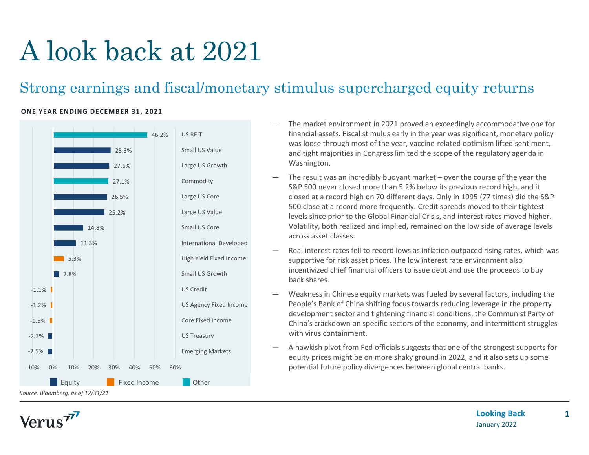# A look back at 2021

### Strong earnings and fiscal/monetary stimulus supercharged equity returns

#### **ONE YEAR ENDING DECEMBER 31, 2021**



- The market environment in 2021 proved an exceedingly accommodative one for financial assets. Fiscal stimulus early in the year was significant, monetary policy was loose through most of the year, vaccine-related optimism lifted sentiment, and tight majorities in Congress limited the scope of the regulatory agenda in Washington.
- The result was an incredibly buoyant market over the course of the year the S&P 500 never closed more than 5.2% below its previous record high, and it closed at a record high on 70 different days. Only in 1995 (77 times) did the S&P 500 close at a record more frequently. Credit spreads moved to their tightest levels since prior to the Global Financial Crisis, and interest rates moved higher. Volatility, both realized and implied, remained on the low side of average levels across asset classes.
- Real interest rates fell to record lows as inflation outpaced rising rates, which was supportive for risk asset prices. The low interest rate environment also incentivized chief financial officers to issue debt and use the proceeds to buy back shares.
- Weakness in Chinese equity markets was fueled by several factors, including the People's Bank of China shifting focus towards reducing leverage in the property development sector and tightening financial conditions, the Communist Party of China's crackdown on specific sectors of the economy, and intermittent struggles with virus containment.
- A hawkish pivot from Fed officials suggests that one of the strongest supports for equity prices might be on more shaky ground in 2022, and it also sets up some potential future policy divergences between global central banks.

Verus<sup>77</sup>